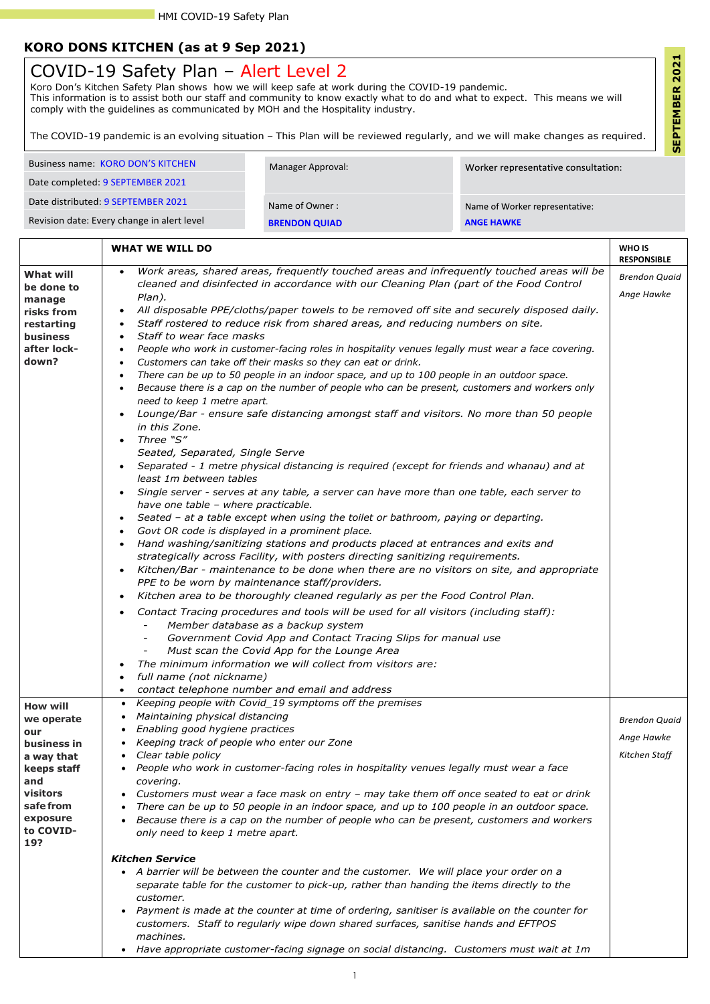1

## **KORO DONS KITCHEN (as at 9 Sep 2021)**

| Business name: KORO DON'S KITCHEN          | Manager Approval:    | Worker representative consultation: |
|--------------------------------------------|----------------------|-------------------------------------|
|                                            |                      |                                     |
| Date completed: 9 SEPTEMBER 2021           |                      |                                     |
|                                            |                      |                                     |
| Date distributed: 9 SEPTEMBER 2021         | Name of Owner:       | Name of Worker representative:      |
|                                            |                      |                                     |
| Revision date: Every change in alert level | <b>BRENDON QUIAD</b> | <b>ANGE HAWKE</b>                   |
|                                            |                      |                                     |

|                                                                                                                 | <b>WHAT WE WILL DO</b>                                                                                                                                                                                                                                                                                                                                                                                                                                                                                                                                                                                                                                                                                                                                                                                                                                                                                                                                                                   | WHO IS<br><b>RESPONSIBLE</b>                        |
|-----------------------------------------------------------------------------------------------------------------|------------------------------------------------------------------------------------------------------------------------------------------------------------------------------------------------------------------------------------------------------------------------------------------------------------------------------------------------------------------------------------------------------------------------------------------------------------------------------------------------------------------------------------------------------------------------------------------------------------------------------------------------------------------------------------------------------------------------------------------------------------------------------------------------------------------------------------------------------------------------------------------------------------------------------------------------------------------------------------------|-----------------------------------------------------|
| <b>What will</b><br>be done to<br>manage<br>risks from<br>restarting<br><b>business</b><br>after lock-<br>down? | Work areas, shared areas, frequently touched areas and infrequently touched areas will be<br>$\bullet$<br>cleaned and disinfected in accordance with our Cleaning Plan (part of the Food Control<br>Plan).<br>All disposable PPE/cloths/paper towels to be removed off site and securely disposed daily.<br>Staff rostered to reduce risk from shared areas, and reducing numbers on site.<br>$\bullet$<br>Staff to wear face masks<br>People who work in customer-facing roles in hospitality venues legally must wear a face covering.<br>Customers can take off their masks so they can eat or drink.<br>$\bullet$<br>There can be up to 50 people in an indoor space, and up to 100 people in an outdoor space.<br>$\bullet$<br>Because there is a cap on the number of people who can be present, customers and workers only<br>need to keep 1 metre apart.<br>Lounge/Bar - ensure safe distancing amongst staff and visitors. No more than 50 people<br>$\bullet$<br>in this Zone. | <b>Brendon Quaid</b><br>Ange Hawke                  |
|                                                                                                                 | Three "S"<br>Seated, Separated, Single Serve<br>Separated - 1 metre physical distancing is required (except for friends and whanau) and at<br>least 1m between tables<br>Single server - serves at any table, a server can have more than one table, each server to<br>have one table - where practicable.<br>Seated - at a table except when using the toilet or bathroom, paying or departing.<br>$\bullet$<br>Govt OR code is displayed in a prominent place.<br>$\bullet$<br>Hand washing/sanitizing stations and products placed at entrances and exits and<br>strategically across Facility, with posters directing sanitizing requirements.<br>Kitchen/Bar - maintenance to be done when there are no visitors on site, and appropriate<br>$\bullet$<br>PPE to be worn by maintenance staff/providers.<br>Kitchen area to be thoroughly cleaned regularly as per the Food Control Plan.<br>$\bullet$                                                                              |                                                     |
|                                                                                                                 | Contact Tracing procedures and tools will be used for all visitors (including staff):<br>Member database as a backup system<br>Government Covid App and Contact Tracing Slips for manual use<br>Must scan the Covid App for the Lounge Area<br>$\overline{\phantom{a}}$<br>The minimum information we will collect from visitors are:<br>full name (not nickname)<br>contact telephone number and email and address                                                                                                                                                                                                                                                                                                                                                                                                                                                                                                                                                                      |                                                     |
| <b>How will</b><br>we operate<br>our<br>business in<br>a way that                                               | Keeping people with Covid_19 symptoms off the premises<br>Maintaining physical distancing<br>Enabling good hygiene practices<br>Keeping track of people who enter our Zone<br>Clear table policy                                                                                                                                                                                                                                                                                                                                                                                                                                                                                                                                                                                                                                                                                                                                                                                         | <b>Brendon Quaid</b><br>Ange Hawke<br>Kitchen Staff |

**keeps staff and visitors safe from exposure to COVID-19?**

- *People who work in customer-facing roles in hospitality venues legally must wear a face covering.*
- *Customers must wear a face mask on entry – may take them off once seated to eat or drink*
- *There can be up to 50 people in an indoor space, and up to 100 people in an outdoor space.*
- *Because there is a cap on the number of people who can be present, customers and workers only need to keep 1 metre apart.*

## *Kitchen Service*

- *A barrier will be between the counter and the customer. We will place your order on a separate table for the customer to pick-up, rather than handing the items directly to the customer.*
- *Payment is made at the counter at time of ordering, sanitiser is available on the counter for customers. Staff to regularly wipe down shared surfaces, sanitise hands and EFTPOS machines.*
- *Have appropriate customer-facing signage on social distancing. Customers must wait at 1m*

## COVID-19 Safety Plan – Alert Level 2

Koro Don's Kitchen Safety Plan shows how we will keep safe at work during the COVID-19 pandemic. This information is to assist both our staff and community to know exactly what to do and what to expect. This means we will comply with the guidelines as communicated by MOH and the Hospitality industry.

The COVID-19 pandemic is an evolving situation – This Plan will be reviewed regularly, and we will make changes as required.